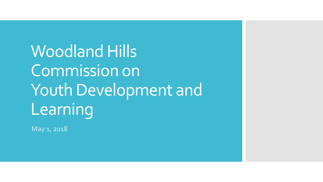Woodland Hills Commission on Youth Development and Learning

May 1, 2018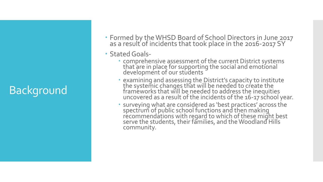- Formed by the WHSD Board of School Directors in June 2017 as a result of incidents that took place in the 2016-2017 SY
- Stated Goals
	- comprehensive assessment of the current District systems that are in place for supporting the social and emotional development of our students
	- examining and assessing the District's capacity to institute the systemic changes that will be needed to create the frameworks that will be needed to address the inequities uncovered as a result of the incidents of the 16-17 school year.
	- surveying what are considered as 'best practices' across the spectrum of public school functions and then making recommendations with regard to which of these might best serve the students, their families, and the Woodland Hills community.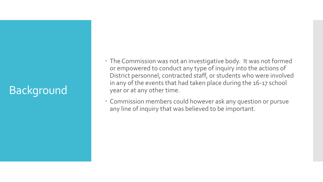- The Commission was not an investigative body. It was not formed or empowered to conduct any type of inquiry into the actions of District personnel, contracted staff, or students who were involved in any of the events that had taken place during the 16-17 school year or at any other time.
- Commission members could however ask any question or pursue any line of inquiry that was believed to be important.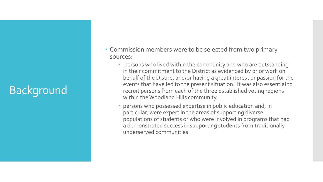- Commission members were to be selected from two primary sources:
	- persons who lived within the community and who are outstanding in their commitment to the District as evidenced by prior work on behalf of the District and/or having a great interest or passion for the events that have led to the present situation. It was also essential to recruit persons from each of the three established voting regions within the Woodland Hills community.
	- persons who possessed expertise in public education and, in particular, were expert in the areas of supporting diverse populations of students or who were involved in programs that had a demonstrated success in supporting students from traditionally underserved communities.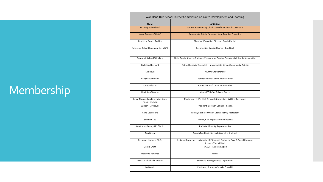# Membership

| Woodland Hills School District Commission on Youth Development and Learning |                                                                                                          |
|-----------------------------------------------------------------------------|----------------------------------------------------------------------------------------------------------|
| <b>Name</b>                                                                 | <b>Affiliation</b>                                                                                       |
| Dr. Jerry Zahorchak*                                                        | Former PA Secretary of Education/Educational Consultant                                                  |
| Karen Farmer - White*                                                       | Community Activist/Member State Board of Education                                                       |
| Reverend Robert Tedder                                                      | Chairman/Executive Director, Reach Up, Inc.                                                              |
| Reverend Richard Freeman, Sr., MSPC                                         | Resurrection Baptist Church - Braddock                                                                   |
| Reverend Richard Wingfield                                                  | Unity Baptist Church-Braddock/President of Greater Braddock Ministerial Association                      |
| Mclelland Bernard                                                           | Retired Behavior Specialist - Intermediate School/Community Activist                                     |
| Lee Davis                                                                   | Alumni/Entrepreneur                                                                                      |
| Bahiyyah Jefferson                                                          | Former Parent/Community Member                                                                           |
| Larry Jefferson                                                             | Former Parent/Community Member                                                                           |
| Chief Rian Wooten                                                           | Alumni/Chief of Police - Rankin                                                                          |
| Judge Thomas Caulfield, Magisterial<br><b>District 05-2-08</b>              | Magistrate: Jr./Sr. High School, Intermediate, Wilkins, Edgewood                                         |
| William H. Price, III                                                       | President, Borough Council - Rankin                                                                      |
| Anne Countouris                                                             | Parent/Business Owner, Drew's Family Restaurant                                                          |
| Summer Lee                                                                  | Alumni/Civil Rights Attorney/Activist                                                                    |
| Senator Jay Costa, 43rd District                                            | PA State Minority Representative                                                                         |
| Tina Doose                                                                  | Parent/President, Borough Council - Braddock                                                             |
| Dr. James Huguley, Ph.D.                                                    | Assistant Professor - University of Pittsburgh Center on Race & Social Problems<br>School of Social Work |
| Gerald Smith                                                                | NAACP - Eastern Region                                                                                   |
| Jacquetta Rawlings                                                          | Parent                                                                                                   |
| <b>Assistant Chief Ellis Watson</b>                                         | Swissvale Borough Police Department                                                                      |
| Jay Dworin                                                                  | President, Borough Council- Churchill                                                                    |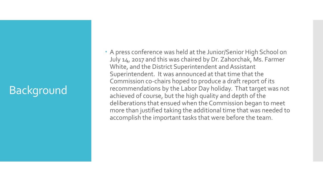A press conference was held at the Junior/Senior High School on July 14, 2017 and this was chaired by Dr. Zahorchak, Ms. Farmer White, and the District Superintendent and Assistant Superintendent. It was announced at that time that the Commission co-chairs hoped to produce a draft report of its recommendations by the Labor Day holiday. That target was not achieved of course, but the high quality and depth of the deliberations that ensued when the Commission began to meet more than justified taking the additional time that was needed to accomplish the important tasks that were before the team.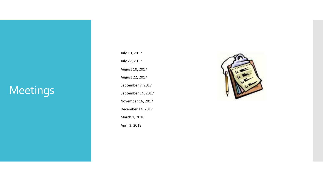# Meetings

July 10, 2017 July 27, 2017 August 10, 2017 August 22, 2017 September 7, 2017 September 14, 2017 November 16, 2017 December 14, 2017 March 1, 2018 April 3, 2018

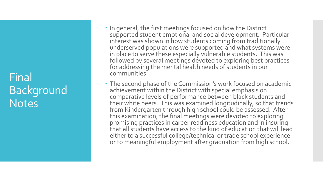Final Background **Notes** 

- In general, the first meetings focused on how the District supported student emotional and social development. Particular interest was shown in how students coming from traditionally underserved populations were supported and what systems were in place to serve these especially vulnerable students. This was followed by several meetings devoted to exploring best practices for addressing the mental health needs of students in our communities.
- The second phase of the Commission's work focused on academic achievement within the District with special emphasis on comparative levels of performance between black students and their white peers. This was examined longitudinally, so that trends from Kindergarten through high school could be assessed. After this examination, the final meetings were devoted to exploring promising practices in career readiness education and in insuring that all students have access to the kind of education that will lead either to a successful college/technical or trade school experience or to meaningful employment after graduation from high school.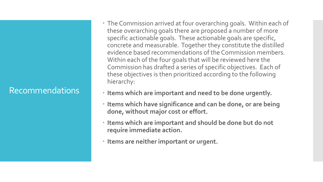#### Recommendations

- The Commission arrived at four overarching goals. Within each of these overarching goals there are proposed a number of more specific actionable goals. These actionable goals are specific, concrete and measurable. Together they constitute the distilled evidence based recommendations of the Commission members. Within each of the four goals that will be reviewed here the Commission has drafted a series of specific objectives. Each of these objectives is then prioritized according to the following hierarchy:
- **Items which are important and need to be done urgently.**
- **Items which have significance and can be done, or are being done, without major cost or effort.**
- **Items which are important and should be done but do not require immediate action.**
- **Items are neither important or urgent.**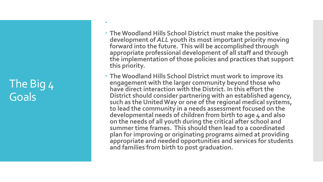#### The Big 4 **Goals**

 $\bullet$ 

- **The Woodland Hills School District must make the positive development of** *ALL* **youth its most important priority moving forward into the future. This will be accomplished through appropriate professional development of all staff and through the implementation of those policies and practices that support this priority.**
- **The Woodland Hills School District must work to improve its engagement with the larger community beyond those who have direct interaction with the District. In this effort the District should consider partnering with an established agency, such as the United Way or one of the regional medical systems, to lead the community in a needs assessment focused on the developmental needs of children from birth to age 4 and also on the needs of all youth during the critical after school and summer time frames. This should then lead to a coordinated plan for improving or originating programs aimed at providing appropriate and needed opportunities and services for students and families from birth to post graduation.**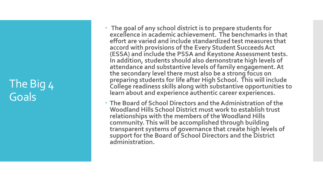#### The Big 4 **Goals**

- **The goal of any school district is to prepare students for excellence in academic achievement. The benchmarks in that effort are varied and include standardized test measures that accord with provisions of the Every Student Succeeds Act (ESSA) and include the PSSA and Keystone Assessment tests. In addition, students should also demonstrate high levels of attendance and substantive levels of family engagement. At the secondary level there must also be a strong focus on preparing students for life after High School. This will include College readiness skills along with substantive opportunities to learn about and experience authentic career experiences.**
- **The Board of School Directors and the Administration of the Woodland Hills School District must work to establish trust relationships with the members of the Woodland Hills community. This will be accomplished through building transparent systems of governance that create high levels of support for the Board of School Directors and the District administration.**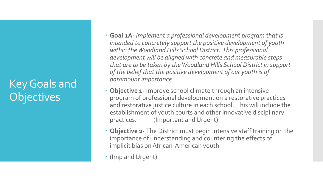- **Goal 1A-** *Implement a professional development program that is intended to concretely support the positive development of youth within the Woodland Hills School District. This professional development will be aligned with concrete and measurable steps that are to be taken by the Woodland Hills School District in support of the belief that the positive development of our youth is of paramount importance.*
- **Objective 1-** Improve school climate through an intensive program of professional development on a restorative practices and restorative justice culture in each school. This will include the establishment of youth courts and other innovative disciplinary practices. (Important and Urgent)
- **Objective 2-** The District must begin intensive staff training on the importance of understanding and countering the effects of implicit bias on African-American youth
- (Imp and Urgent)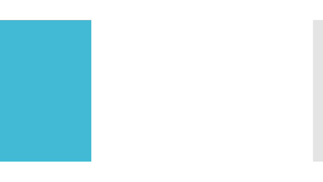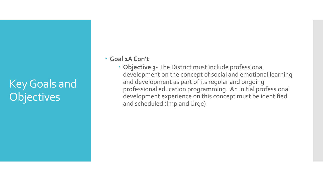#### **Goal 1A Con't**

 **Objective 3-** The District must include professional development on the concept of social and emotional learning and development as part of its regular and ongoing professional education programming. An initial professional development experience on this concept must be identified and scheduled (Imp and Urge)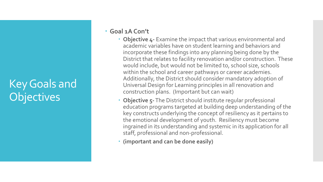#### **Goal 1A Con't**

- **Objective 4-** Examine the impact that various environmental and academic variables have on student learning and behaviors and incorporate these findings into any planning being done by the District that relates to facility renovation and/or construction. These would include, but would not be limited to, school size, schools within the school and career pathways or career academies. Additionally, the District should consider mandatory adoption of Universal Design for Learning principles in all renovation and construction plans. (Important but can wait)
- **Objective 5-**The District should institute regular professional education programs targeted at building deep understanding of the key constructs underlying the concept of resiliency as it pertains to the emotional development of youth. Resiliency must become ingrained in its understanding and systemic in its application for all staff, professional and non-professional.
- **(important and can be done easily)**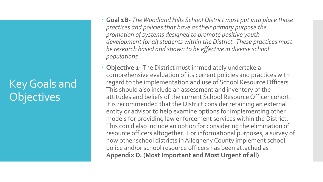- **Goal 1B-** *The Woodland Hills School District must put into place those practices and policies that have as their primary purpose the promotion of systems designed to promote positive youth development for all students within the District. These practices must be research based and shown to be effective in diverse school populations*
- **Objective 1-** The District must immediately undertake a comprehensive evaluation of its current policies and practices with regard to the implementation and use of School Resource Officers. This should also include an assessment and inventory of the attitudes and beliefs of the current School Resource Officer cohort. It is recommended that the District consider retaining an external entity or advisor to help examine options for implementing other models for providing law enforcement services within the District. This could also include an option for considering the elimination of resource officers altogether. For informational purposes, a survey of how other school districts in Allegheny County implement school police and/or school resource officers has been attached as **Appendix D. (Most Important and Most Urgent of all)**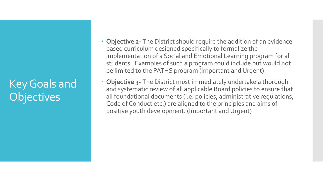- **Objective 2-** The District should require the addition of an evidence based curriculum designed specifically to formalize the implementation of a Social and Emotional Learning program for all students. Examples of such a program could include but would not be limited to the PATHS program (Important and Urgent)
- **Objective 3-** The District must immediately undertake a thorough and systematic review of all applicable Board policies to ensure that all foundational documents (i.e. policies, administrative regulations, Code of Conduct etc.) are aligned to the principles and aims of positive youth development. (Important and Urgent)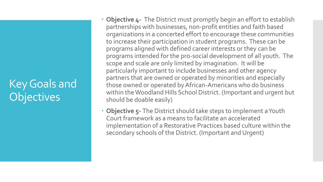- **Objective 4-** The District must promptly begin an effort to establish partnerships with businesses, non-profit entities and faith based organizations in a concerted effort to encourage these communities to increase their participation in student programs. These can be programs aligned with defined career interests or they can be programs intended for the pro-social development of all youth. The scope and scale are only limited by imagination. It will be particularly important to include businesses and other agency partners that are owned or operated by minorities and especially those owned or operated by African-Americans who do business within the Woodland Hills School District. (Important and urgent but should be doable easily)
- **Objective 5-** The District should take steps to implement a Youth Court framework as a means to facilitate an accelerated implementation of a Restorative Practices based culture within the secondary schools of the District. (Important and Urgent)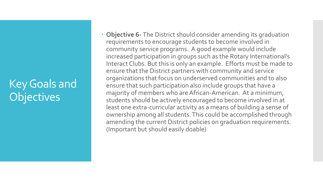**Objective 6-** The District should consider amending its graduation requirements to encourage students to become involved in community service programs. A good example would include increased participation in groups such as the Rotary International's Interact Clubs. But this is only an example. Efforts must be made to ensure that the District partners with community and service organizations that focus on underserved communities and to also ensure that such participation also include groups that have a majority of members who are African-American. At a minimum, students should be actively encouraged to become involved in at least one extra-curricular activity as a means of building a sense of ownership among all students. This could be accomplished through amending the current District policies on graduation requirements. (Important but should easily doable)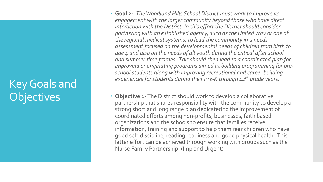- **Goal 2-** *The Woodland Hills School District must work to improve its engagement with the larger community beyond those who have direct interaction with the District. In this effort the District should consider partnering with an established agency, such as the United Way or one of the regional medical systems, to lead the community in a needs assessment focused on the developmental needs of children from birth to age 4 and also on the needs of all youth during the critical after school and summer time frames. This should then lead to a coordinated plan for improving or originating programs aimed at building programming for preschool students along with improving recreational and career building experiences for students during their Pre-K through 12th grade years.*
- **Objective 1-**The District should work to develop a collaborative partnership that shares responsibility with the community to develop a strong short and long range plan dedicated to the improvement of coordinated efforts among non-profits, businesses, faith based organizations and the schools to ensure that families receive information, training and support to help them rear children who have good self-discipline, reading readiness and good physical health. This latter effort can be achieved through working with groups such as the Nurse Family Partnership. (Imp and Urgent)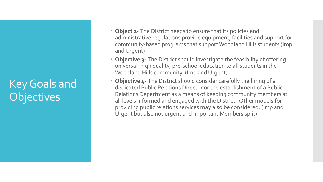- **Object 2-** The District needs to ensure that its policies and administrative regulations provide equipment, facilities and support for community-based programs that support Woodland Hills students (Imp and Urgent)
- **Objective 3-** The District should investigate the feasibility of offering universal, high quality, pre-school education to all students in the Woodland Hills community. (Imp and Urgent)
- **Objective 4-** The District should consider carefully the hiring of a dedicated Public Relations Director or the establishment of a Public Relations Department as a means of keeping community members at all levels informed and engaged with the District. Other models for providing public relations services may also be considered. (Imp and Urgent but also not urgent and Important Members split)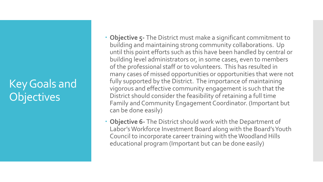- **Objective 5-** The District must make a significant commitment to building and maintaining strong community collaborations. Up until this point efforts such as this have been handled by central or building level administrators or, in some cases, even to members of the professional staff or to volunteers. This has resulted in many cases of missed opportunities or opportunities that were not fully supported by the District. The importance of maintaining vigorous and effective community engagement is such that the District should consider the feasibility of retaining a full time Family and Community Engagement Coordinator. (Important but can be done easily)
- **Objective 6-** The District should work with the Department of Labor's Workforce Investment Board along with the Board's Youth Council to incorporate career training with the Woodland Hills educational program (Important but can be done easily)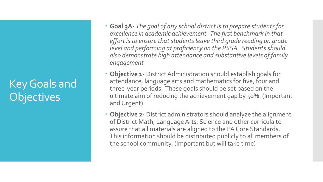- **Goal 3A-** *The goal of any school district is to prepare students for excellence in academic achievement. The first benchmark in that effort is to ensure that students leave third grade reading on grade level and performing at proficiency on the PSSA. Students should also demonstrate high attendance and substantive levels of family engagement*
- **Objective 1-** District Administration should establish goals for attendance, language arts and mathematics for five, four and three-year periods. These goals should be set based on the ultimate aim of reducing the achievement gap by 50%. (Important and Urgent)
- **Objective 2-** District administrators should analyze the alignment of District Math, Language Arts, Science and other curricula to assure that all materials are aligned to the PA Core Standards. This information should be distributed publicly to all members of the school community. (Important but will take time)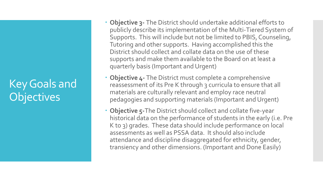- **Objective 3-** The District should undertake additional efforts to publicly describe its implementation of the Multi-Tiered System of Supports. This will include but not be limited to PBIS, Counseling, Tutoring and other supports. Having accomplished this the District should collect and collate data on the use of these supports and make them available to the Board on at least a quarterly basis (Important and Urgent)
- **Objective 4-** The District must complete a comprehensive reassessment of its Pre K through 3 curricula to ensure that all materials are culturally relevant and employ race neutral pedagogies and supporting materials (Important and Urgent)
- **Objective 5-**The District should collect and collate five-year historical data on the performance of students in the early (i.e. Pre K to 3) grades. These data should include performance on local assessments as well as PSSA data. It should also include attendance and discipline disaggregated for ethnicity, gender, transiency and other dimensions. (Important and Done Easily)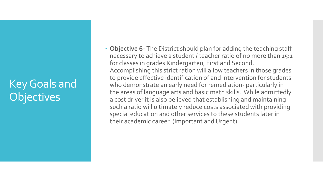**Objective 6-** The District should plan for adding the teaching staff necessary to achieve a student / teacher ratio of no more than 15:1 for classes in grades Kindergarten, First and Second. Accomplishing this strict ration will allow teachers in those grades to provide effective identification of and intervention for students who demonstrate an early need for remediation- particularly in the areas of language arts and basic math skills. While admittedly a cost driver it is also believed that establishing and maintaining such a ratio will ultimately reduce costs associated with providing special education and other services to these students later in their academic career. (Important and Urgent)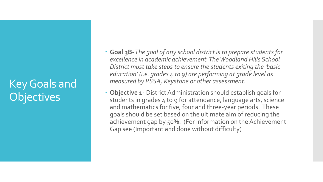- **Goal 3B-***The goal of any school district is to prepare students for excellence in academic achievement. The Woodland Hills School District must take steps to ensure the students exiting the 'basic education' (i.e. grades 4 to 9) are performing at grade level as measured by PSSA, Keystone or other assessment.*
- **Objective 1-** District Administration should establish goals for students in grades 4 to 9 for attendance, language arts, science and mathematics for five, four and three-year periods. These goals should be set based on the ultimate aim of reducing the achievement gap by 50%. (For information on the Achievement Gap see (Important and done without difficulty)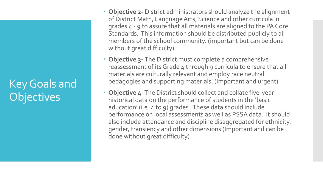- **Objective 2-** District administrators should analyze the alignment of District Math, Language Arts, Science and other curricula in grades 4 - 9 to assure that all materials are aligned to the PA Core Standards. This information should be distributed publicly to all members of the school community. (important but can be done without great difficulty)
- **Objective 3-** The District must complete a comprehensive reassessment of its Grade 4 through 9 curricula to ensure that all materials are culturally relevant and employ race neutral pedagogies and supporting materials. (Important and urgent)
- **Objective 4-**The District should collect and collate five-year historical data on the performance of students in the 'basic education' (i.e. 4 to 9) grades. These data should include performance on local assessments as well as PSSA data. It should also include attendance and discipline disaggregated for ethnicity, gender, transiency and other dimensions (Important and can be done without great difficulty)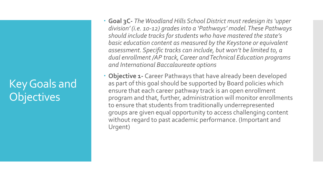- **Goal 3C-** *The Woodland Hills School District must redesign its 'upper division' (i.e. 10-12) grades into a 'Pathways' model. These Pathways should include tracks for students who have mastered the state's basic education content as measured by the Keystone or equivalent assessment. Specific tracks can include, but won't be limited to, a dual enrollment /AP track, Career and Technical Education programs and International Baccalaureate options*
- **Objective 1-** Career Pathways that have already been developed as part of this goal should be supported by Board policies which ensure that each career pathway track is an open enrollment program and that, further, administration will monitor enrollments to ensure that students from traditionally underrepresented groups are given equal opportunity to access challenging content without regard to past academic performance. (Important and Urgent)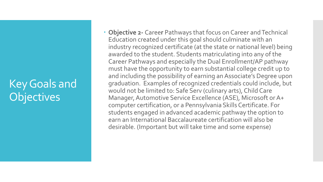**Objective 2-** Caree**r** Pathways that focus on Career and Technical Education created under this goal should culminate with an industry recognized certificate (at the state or national level) being awarded to the student. Students matriculating into any of the Career Pathways and especially the Dual Enrollment/AP pathway must have the opportunity to earn substantial college credit up to and including the possibility of earning an Associate's Degree upon graduation. Examples of recognized credentials could include, but would not be limited to: Safe Serv (culinary arts), Child Care Manager, Automotive Service Excellence (ASE), Microsoft or A+ computer certification, or a Pennsylvania Skills Certificate. For students engaged in advanced academic pathway the option to earn an International Baccalaureate certification will also be desirable. (Important but will take time and some expense)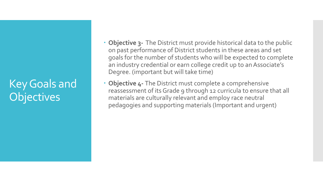- **Objective 3-** The District must provide historical data to the public on past performance of District students in these areas and set goals for the number of students who will be expected to complete an industry credential or earn college credit up to an Associate's Degree. (important but will take time)
- **Objective 4-** The District must complete a comprehensive reassessment of its Grade 9 through 12 curricula to ensure that all materials are culturally relevant and employ race neutral pedagogies and supporting materials (Important and urgent)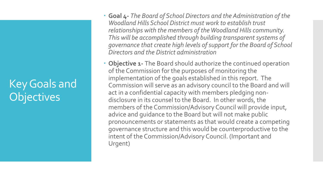- **Goal 4-** *The Board of School Directors and the Administration of the Woodland Hills School District must work to establish trust relationships with the members of the Woodland Hills community. This will be accomplished through building transparent systems of governance that create high levels of support for the Board of School Directors and the District administration*
- **Objective 1-** The Board should authorize the continued operation of the Commission for the purposes of monitoring the implementation of the goals established in this report. The Commission will serve as an advisory council to the Board and will act in a confidential capacity with members pledging nondisclosure in its counsel to the Board. In other words, the members of the Commission/Advisory Council will provide input, advice and guidance to the Board but will not make public pronouncements or statements as that would create a competing governance structure and this would be counterproductive to the intent of the Commission/Advisory Council. (Important and Urgent)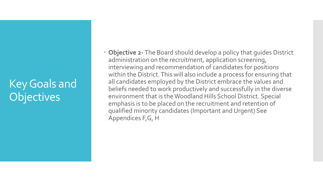**Objective 2-** The Board should develop a policy that guides District administration on the recruitment, application screening, interviewing and recommendation of candidates for positions within the District. This will also include a process for ensuring that all candidates employed by the District embrace the values and beliefs needed to work productively and successfully in the diverse environment that is the Woodland Hills School District. Special emphasis is to be placed on the recruitment and retention of qualified minority candidates (Important and Urgent) See Appendices F,G, H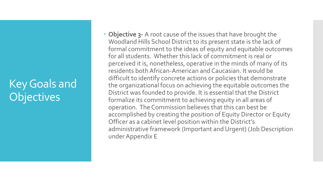**Objective 3-** A root cause of the issues that have brought the Woodland Hills School District to its present state is the lack of formal commitment to the ideas of equity and equitable outcomes for all students. Whether this lack of commitment is real or perceived it is, nonetheless, operative in the minds of many of its residents both African-American and Caucasian. It would be difficult to identify concrete actions or policies that demonstrate the organizational focus on achieving the equitable outcomes the District was founded to provide. It is essential that the District formalize its commitment to achieving equity in all areas of operation. The Commission believes that this can best be accomplished by creating the position of Equity Director or Equity Officer as a cabinet level position within the District's administrative framework (Important and Urgent) (Job Description under Appendix E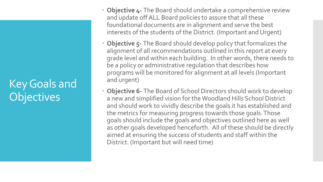- **Objective 4-** The Board should undertake a comprehensive review and update off ALL Board policies to assure that all these foundational documents are in alignment and serve the best interests of the students of the District. (Important and Urgent)
- **Objective 5-** The Board should develop policy that formalizes the alignment of all recommendations outlined in this report at every grade level and within each building. In other words, there needs to be a policy or administrative regulation that describes how programs will be monitored for alignment at all levels (Important and urgent)
- **Objective 6-** The Board of School Directors should work to develop a new and simplified vision for the Woodland Hills School District and should work to vividly describe the goals it has established and the metrics for measuring progress towards those goals. Those goals should include the goals and objectives outlined here as well as other goals developed henceforth. All of these should be directly aimed at ensuring the success of students and staff within the District. (Important but will need time)